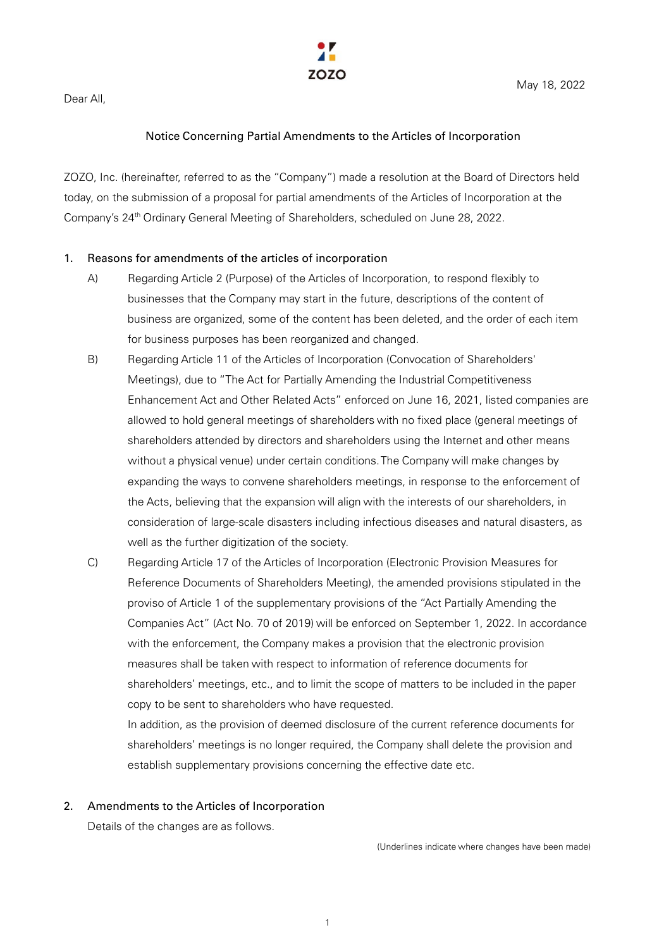

Dear All,

## Notice Concerning Partial Amendments to the Articles of Incorporation

ZOZO, Inc. (hereinafter, referred to as the "Company") made a resolution at the Board of Directors held today, on the submission of a proposal for partial amendments of the Articles of Incorporation at the Company's 24th Ordinary General Meeting of Shareholders, scheduled on June 28, 2022.

## 1. Reasons for amendments of the articles of incorporation

- A) Regarding Article 2 (Purpose) of the Articles of Incorporation, to respond flexibly to businesses that the Company may start in the future, descriptions of the content of business are organized, some of the content has been deleted, and the order of each item for business purposes has been reorganized and changed.
- B) Regarding Article 11 of the Articles of Incorporation (Convocation of Shareholders' Meetings), due to "The Act for Partially Amending the Industrial Competitiveness Enhancement Act and Other Related Acts" enforced on June 16, 2021, listed companies are allowed to hold general meetings of shareholders with no fixed place (general meetings of shareholders attended by directors and shareholders using the Internet and other means without a physical venue) under certain conditions.The Company will make changes by expanding the ways to convene shareholders meetings, in response to the enforcement of the Acts, believing that the expansion will align with the interests of our shareholders, in consideration of large-scale disasters including infectious diseases and natural disasters, as well as the further digitization of the society.
- C) Regarding Article 17 of the Articles of Incorporation (Electronic Provision Measures for Reference Documents of Shareholders Meeting), the amended provisions stipulated in the proviso of Article 1 of the supplementary provisions of the "Act Partially Amending the Companies Act" (Act No. 70 of 2019) will be enforced on September 1, 2022. In accordance with the enforcement, the Company makes a provision that the electronic provision measures shall be taken with respect to information of reference documents for shareholders' meetings, etc., and to limit the scope of matters to be included in the paper copy to be sent to shareholders who have requested.

In addition, as the provision of deemed disclosure of the current reference documents for shareholders' meetings is no longer required, the Company shall delete the provision and establish supplementary provisions concerning the effective date etc.

## 2. Amendments to the Articles of Incorporation

Details of the changes are as follows.

(Underlines indicate where changes have been made)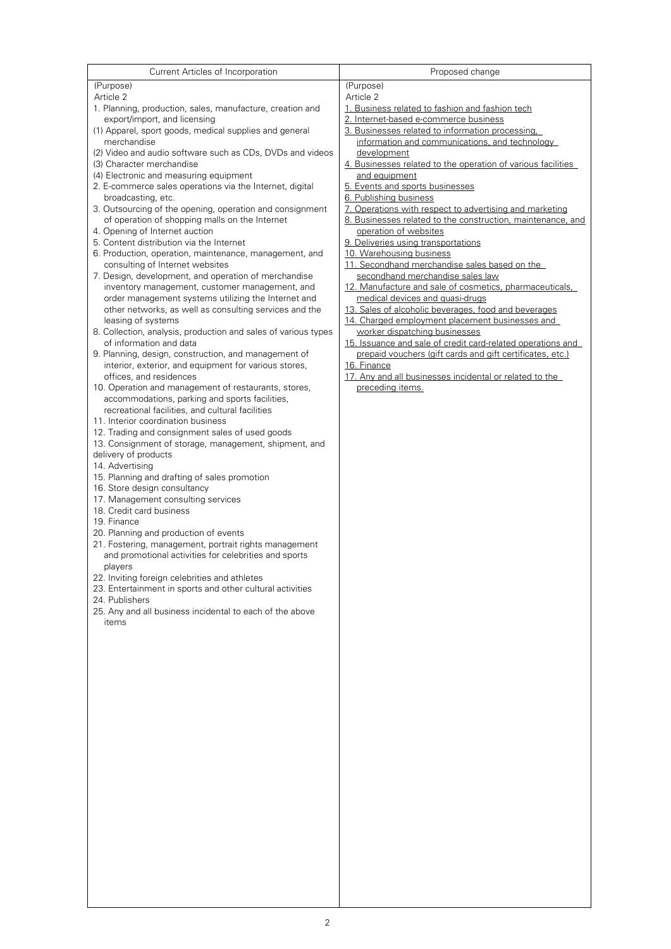| Current Articles of Incorporation                                                                  | Proposed change                                                                              |
|----------------------------------------------------------------------------------------------------|----------------------------------------------------------------------------------------------|
| (Purpose)                                                                                          | (Purpose)                                                                                    |
| Article 2                                                                                          | Article 2                                                                                    |
| 1. Planning, production, sales, manufacture, creation and                                          | 1. Business related to fashion and fashion tech                                              |
| export/import, and licensing<br>(1) Apparel, sport goods, medical supplies and general             | 2. Internet-based e-commerce business<br>3. Businesses related to information processing.    |
| merchandise                                                                                        | information and communications, and technology                                               |
| (2) Video and audio software such as CDs, DVDs and videos                                          | development                                                                                  |
| (3) Character merchandise                                                                          | 4. Businesses related to the operation of various facilities                                 |
| (4) Electronic and measuring equipment                                                             | and equipment                                                                                |
| 2. E-commerce sales operations via the Internet, digital                                           | 5. Events and sports businesses<br>6. Publishing business                                    |
| broadcasting, etc.<br>3. Outsourcing of the opening, operation and consignment                     | 7. Operations with respect to advertising and marketing                                      |
| of operation of shopping malls on the Internet                                                     | 8. Businesses related to the construction, maintenance, and                                  |
| 4. Opening of Internet auction                                                                     | operation of websites                                                                        |
| 5. Content distribution via the Internet                                                           | 9. Deliveries using transportations                                                          |
| 6. Production, operation, maintenance, management, and                                             | 10. Warehousing business                                                                     |
| consulting of Internet websites<br>7. Design, development, and operation of merchandise            | 11. Secondhand merchandise sales based on the<br>secondhand merchandise sales law            |
| inventory management, customer management, and                                                     | 12. Manufacture and sale of cosmetics, pharmaceuticals,                                      |
| order management systems utilizing the Internet and                                                | medical devices and quasi-drugs                                                              |
| other networks, as well as consulting services and the                                             | 13. Sales of alcoholic beverages, food and beverages                                         |
| leasing of systems                                                                                 | 14. Charged employment placement businesses and                                              |
| 8. Collection, analysis, production and sales of various types<br>of information and data          | worker dispatching businesses<br>15. Issuance and sale of credit card-related operations and |
| 9. Planning, design, construction, and management of                                               | prepaid vouchers (gift cards and gift certificates, etc.)                                    |
| interior, exterior, and equipment for various stores,                                              | 16. Finance                                                                                  |
| offices, and residences                                                                            | 17. Any and all businesses incidental or related to the                                      |
| 10. Operation and management of restaurants, stores,                                               | preceding items.                                                                             |
| accommodations, parking and sports facilities,<br>recreational facilities, and cultural facilities |                                                                                              |
| 11. Interior coordination business                                                                 |                                                                                              |
| 12. Trading and consignment sales of used goods                                                    |                                                                                              |
| 13. Consignment of storage, management, shipment, and                                              |                                                                                              |
| delivery of products                                                                               |                                                                                              |
| 14. Advertising<br>15. Planning and drafting of sales promotion                                    |                                                                                              |
| 16. Store design consultancy                                                                       |                                                                                              |
| 17. Management consulting services                                                                 |                                                                                              |
| 18. Credit card business                                                                           |                                                                                              |
| 19. Finance                                                                                        |                                                                                              |
| 20. Planning and production of events<br>21. Fostering, management, portrait rights management     |                                                                                              |
| and promotional activities for celebrities and sports                                              |                                                                                              |
| players                                                                                            |                                                                                              |
| 22. Inviting foreign celebrities and athletes                                                      |                                                                                              |
| 23. Entertainment in sports and other cultural activities                                          |                                                                                              |
| 24. Publishers<br>25. Any and all business incidental to each of the above                         |                                                                                              |
| items                                                                                              |                                                                                              |
|                                                                                                    |                                                                                              |
|                                                                                                    |                                                                                              |
|                                                                                                    |                                                                                              |
|                                                                                                    |                                                                                              |
|                                                                                                    |                                                                                              |
|                                                                                                    |                                                                                              |
|                                                                                                    |                                                                                              |
|                                                                                                    |                                                                                              |
|                                                                                                    |                                                                                              |
|                                                                                                    |                                                                                              |
|                                                                                                    |                                                                                              |
|                                                                                                    |                                                                                              |
|                                                                                                    |                                                                                              |
|                                                                                                    |                                                                                              |
|                                                                                                    |                                                                                              |
|                                                                                                    |                                                                                              |
|                                                                                                    |                                                                                              |
|                                                                                                    |                                                                                              |
|                                                                                                    |                                                                                              |